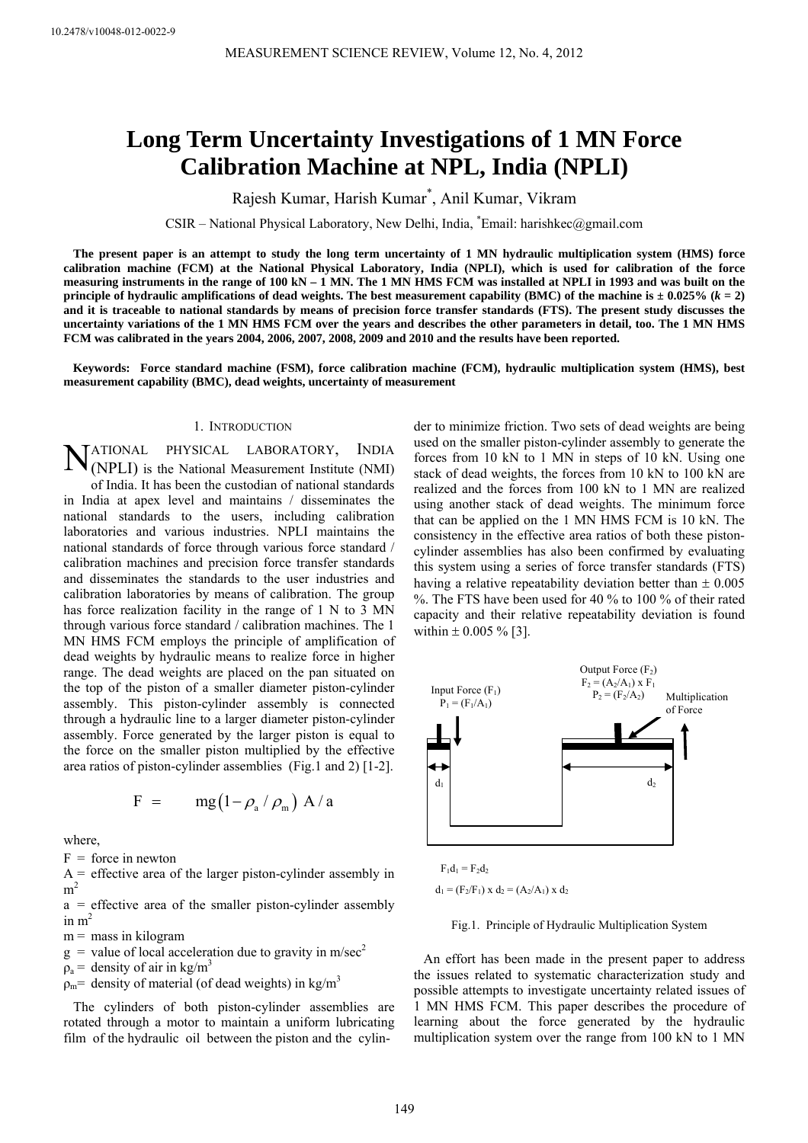# **Long Term Uncertainty Investigations of 1 MN Force Calibration Machine at NPL, India (NPLI)**

Rajesh Kumar, Harish Kumar\* , Anil Kumar, Vikram

CSIR – National Physical Laboratory, New Delhi, India, \* Email: harishkec@gmail.com

**The present paper is an attempt to study the long term uncertainty of 1 MN hydraulic multiplication system (HMS) force calibration machine (FCM) at the National Physical Laboratory, India (NPLI), which is used for calibration of the force measuring instruments in the range of 100 kN – 1 MN. The 1 MN HMS FCM was installed at NPLI in 1993 and was built on the principle of hydraulic amplifications of dead weights. The best measurement capability (BMC) of the machine is**  $\pm$  **0.025% (** $k = 2$ **) and it is traceable to national standards by means of precision force transfer standards (FTS). The present study discusses the uncertainty variations of the 1 MN HMS FCM over the years and describes the other parameters in detail, too. The 1 MN HMS FCM was calibrated in the years 2004, 2006, 2007, 2008, 2009 and 2010 and the results have been reported.** 

**Keywords: Force standard machine (FSM), force calibration machine (FCM), hydraulic multiplication system (HMS), best measurement capability (BMC), dead weights, uncertainty of measurement** 

#### 1. INTRODUCTION

PHYSICAL LABORATORY, INDIA (NPLI) is the National Measurement Institute (NMI) of India. It has been the custodian of national standards in India at apex level and maintains / disseminates the national standards to the users, including calibration laboratories and various industries. NPLI maintains the national standards of force through various force standard / calibration machines and precision force transfer standards and disseminates the standards to the user industries and calibration laboratories by means of calibration. The group has force realization facility in the range of 1 N to 3 MN through various force standard / calibration machines. The 1 MN HMS FCM employs the principle of amplification of dead weights by hydraulic means to realize force in higher range. The dead weights are placed on the pan situated on the top of the piston of a smaller diameter piston-cylinder assembly. This piston-cylinder assembly is connected through a hydraulic line to a larger diameter piston-cylinder assembly. Force generated by the larger piston is equal to the force on the smaller piston multiplied by the effective area ratios of piston-cylinder assemblies (Fig.1 and 2) [1-2]. **TATIONAL** 

$$
F = \text{mg}(1 - \rho_{a} / \rho_{m}) A / a
$$

where,

 $F =$  force in newton

 $A =$  effective area of the larger piston-cylinder assembly in  $\rm m^2$ 

 $a =$  effective area of the smaller piston-cylinder assembly in  $m<sup>2</sup>$ 

 $m =$  mass in kilogram

 $g =$  value of local acceleration due to gravity in m/sec<sup>2</sup>

 $\rho_a$  = density of air in kg/m<sup>3</sup>

 $\rho_m$  = density of material (of dead weights) in kg/m<sup>3</sup>

The cylinders of both piston-cylinder assemblies are rotated through a motor to maintain a uniform lubricating film of the hydraulic oil between the piston and the cylinder to minimize friction. Two sets of dead weights are being used on the smaller piston-cylinder assembly to generate the forces from 10 kN to 1 MN in steps of 10 kN. Using one stack of dead weights, the forces from 10 kN to 100 kN are realized and the forces from 100 kN to 1 MN are realized using another stack of dead weights. The minimum force that can be applied on the 1 MN HMS FCM is 10 kN. The consistency in the effective area ratios of both these pistoncylinder assemblies has also been confirmed by evaluating this system using a series of force transfer standards (FTS) having a relative repeatability deviation better than  $\pm 0.005$ %. The FTS have been used for 40 % to 100 % of their rated capacity and their relative repeatability deviation is found within  $\pm 0.005 \%$  [3].



 $d_1 = (F_2/F_1) \times d_2 = (A_2/A_1) \times d_2$ 

Fig.1. Principle of Hydraulic Multiplication System

An effort has been made in the present paper to address the issues related to systematic characterization study and possible attempts to investigate uncertainty related issues of 1 MN HMS FCM. This paper describes the procedure of learning about the force generated by the hydraulic multiplication system over the range from 100 kN to 1 MN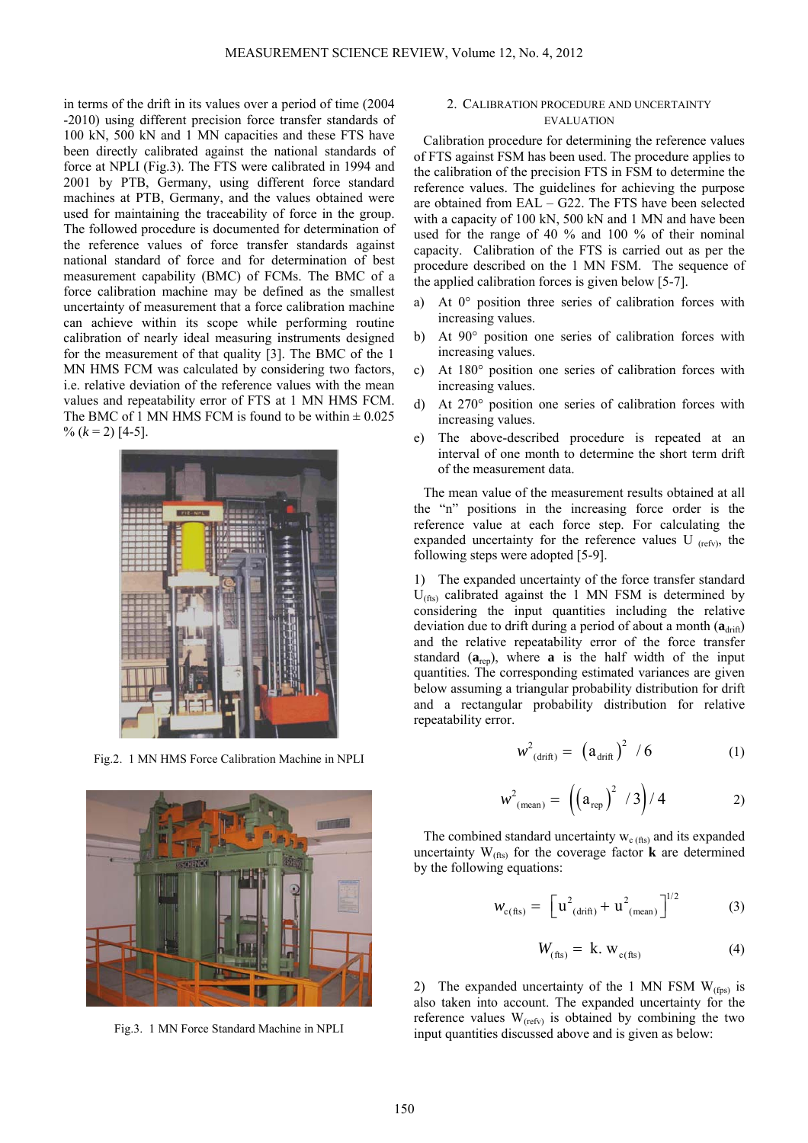in terms of the drift in its values over a period of time (2004 -2010) using different precision force transfer standards of 100 kN, 500 kN and 1 MN capacities and these FTS have been directly calibrated against the national standards of force at NPLI (Fig.3). The FTS were calibrated in 1994 and 2001 by PTB, Germany, using different force standard machines at PTB, Germany, and the values obtained were used for maintaining the traceability of force in the group. The followed procedure is documented for determination of the reference values of force transfer standards against national standard of force and for determination of best measurement capability (BMC) of FCMs. The BMC of a force calibration machine may be defined as the smallest uncertainty of measurement that a force calibration machine can achieve within its scope while performing routine calibration of nearly ideal measuring instruments designed for the measurement of that quality [3]. The BMC of the 1 MN HMS FCM was calculated by considering two factors, i.e. relative deviation of the reference values with the mean values and repeatability error of FTS at 1 MN HMS FCM. The BMC of 1 MN HMS FCM is found to be within  $\pm 0.025$  $\%$  ( $k = 2$ ) [4-5].



Fig.2. 1 MN HMS Force Calibration Machine in NPLI



Fig.3. 1 MN Force Standard Machine in NPLI

### 2. CALIBRATION PROCEDURE AND UNCERTAINTY **EVALUATION**

Calibration procedure for determining the reference values of FTS against FSM has been used. The procedure applies to the calibration of the precision FTS in FSM to determine the reference values. The guidelines for achieving the purpose are obtained from EAL – G22. The FTS have been selected with a capacity of 100 kN, 500 kN and 1 MN and have been used for the range of 40 % and 100 % of their nominal capacity. Calibration of the FTS is carried out as per the procedure described on the 1 MN FSM. The sequence of the applied calibration forces is given below [5-7].

- a) At 0° position three series of calibration forces with increasing values.
- b) At 90° position one series of calibration forces with increasing values.
- c) At 180° position one series of calibration forces with increasing values.
- d) At 270° position one series of calibration forces with increasing values.
- e) The above-described procedure is repeated at an interval of one month to determine the short term drift of the measurement data.

The mean value of the measurement results obtained at all the "n" positions in the increasing force order is the reference value at each force step. For calculating the expanded uncertainty for the reference values U  $_{\text{(refv)}}$ , the following steps were adopted [5-9].

1) The expanded uncertainty of the force transfer standard  $U_{\text{(fts)}}$  calibrated against the 1 MN FSM is determined by considering the input quantities including the relative deviation due to drift during a period of about a month ( $\mathbf{a}_{drift}$ ) and the relative repeatability error of the force transfer standard  $(a_{\text{ren}})$ , where **a** is the half width of the input quantities. The corresponding estimated variances are given below assuming a triangular probability distribution for drift and a rectangular probability distribution for relative repeatability error.

$$
w^2_{\text{(drift)}} = (a_{\text{drift}})^2 / 6 \tag{1}
$$

$$
w^{2}_{(\text{mean})} = ((a_{\text{rep}})^{2} / 3) / 4 \qquad \qquad (2)
$$

The combined standard uncertainty  $w_{c(fits)}$  and its expanded uncertainty  $W_{(fts)}$  for the coverage factor **k** are determined by the following equations:

$$
w_{c(fts)} = \left[ u_{(drift)}^2 + u_{(mean)}^2 \right]^{1/2}
$$
 (3)

$$
W_{\text{(fts)}} = \mathbf{k}.\mathbf{W}_{\text{c(fts)}}
$$
 (4)

2) The expanded uncertainty of the 1 MN FSM  $W_{(fps)}$  is also taken into account. The expanded uncertainty for the reference values  $W_{(refv)}$  is obtained by combining the two input quantities discussed above and is given as below: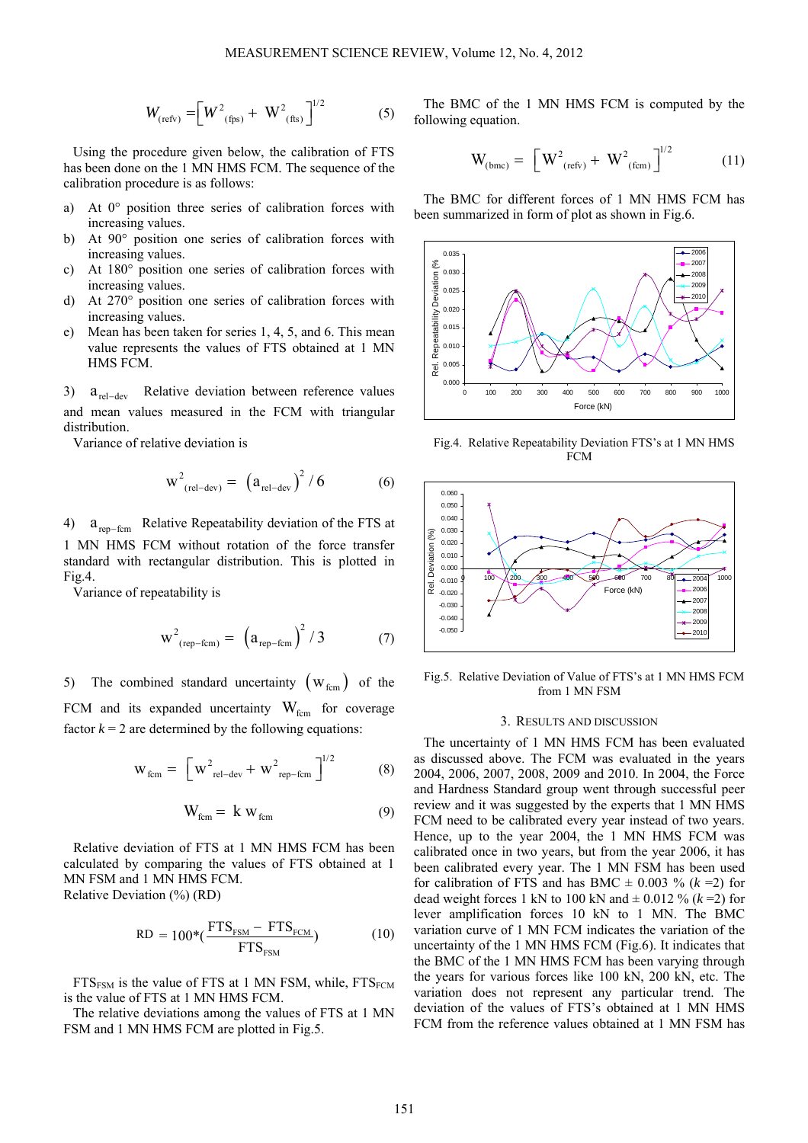$$
W_{\text{(refv)}} = \left[W^2_{\text{(fps)}} + W^2_{\text{(fhs)}}\right]^{1/2} \tag{5}
$$

Using the procedure given below, the calibration of FTS has been done on the 1 MN HMS FCM. The sequence of the calibration procedure is as follows:

- a) At 0° position three series of calibration forces with increasing values.
- b) At 90° position one series of calibration forces with increasing values.
- c) At 180° position one series of calibration forces with increasing values.
- d) At 270° position one series of calibration forces with increasing values.
- e) Mean has been taken for series 1, 4, 5, and 6. This mean value represents the values of FTS obtained at 1 MN HMS FCM.

3)  $a_{\text{rel-dev}}$  Relative deviation between reference values and mean values measured in the FCM with triangular distribution.

Variance of relative deviation is

$$
w^{2}_{\text{(rel-dev)}} = (a_{\text{rel-dev}})^{2} / 6 \tag{6}
$$

4)  $a_{\text{rep-form}}$  Relative Repeatability deviation of the FTS at 1 MN HMS FCM without rotation of the force transfer standard with rectangular distribution. This is plotted in Fig.4.

Variance of repeatability is

$$
w^{2}_{(rep-form)} = (a_{rep-form})^{2} / 3 \qquad (7)
$$

5) The combined standard uncertainty  $(W_{\text{fcm}})$  of the FCM and its expanded uncertainty  $W_{\text{fcm}}$  for coverage factor  $k = 2$  are determined by the following equations:

$$
W_{\text{fcm}} = \left[ W_{\text{rel-dev}}^2 + W_{\text{rep-fcm}}^2 \right]^{1/2}
$$
 (8)

$$
W_{\text{fcm}} = k w_{\text{fcm}} \tag{9}
$$

Relative deviation of FTS at 1 MN HMS FCM has been calculated by comparing the values of FTS obtained at 1 MN FSM and 1 MN HMS FCM. Relative Deviation (%) (RD)

$$
RD = 100*(\frac{FTS_{FSM} - FTS_{FCM}}{FTS_{FSM}})
$$
 (10)

 $FTS_{FSM}$  is the value of FTS at 1 MN FSM, while,  $FTS_{FCM}$ is the value of FTS at 1 MN HMS FCM.

The relative deviations among the values of FTS at 1 MN FSM and 1 MN HMS FCM are plotted in Fig.5.

The BMC of the 1 MN HMS FCM is computed by the following equation.

$$
W_{(bmc)} = \left[ W_{(refv)}^2 + W_{(fcm)}^2 \right]^{1/2}
$$
 (11)

The BMC for different forces of 1 MN HMS FCM has been summarized in form of plot as shown in Fig.6.



Fig.4. Relative Repeatability Deviation FTS's at 1 MN HMS FCM



Fig.5. Relative Deviation of Value of FTS's at 1 MN HMS FCM from 1 MN FSM

# 3. RESULTS AND DISCUSSION

The uncertainty of 1 MN HMS FCM has been evaluated as discussed above. The FCM was evaluated in the years 2004, 2006, 2007, 2008, 2009 and 2010. In 2004, the Force and Hardness Standard group went through successful peer review and it was suggested by the experts that 1 MN HMS FCM need to be calibrated every year instead of two years. Hence, up to the year 2004, the 1 MN HMS FCM was calibrated once in two years, but from the year 2006, it has been calibrated every year. The 1 MN FSM has been used for calibration of FTS and has BMC  $\pm$  0.003 % ( $k = 2$ ) for dead weight forces 1 kN to 100 kN and  $\pm$  0.012 % ( $k = 2$ ) for lever amplification forces 10 kN to 1 MN. The BMC variation curve of 1 MN FCM indicates the variation of the uncertainty of the 1 MN HMS FCM (Fig.6). It indicates that the BMC of the 1 MN HMS FCM has been varying through the years for various forces like 100 kN, 200 kN, etc. The variation does not represent any particular trend. The deviation of the values of FTS's obtained at 1 MN HMS FCM from the reference values obtained at 1 MN FSM has